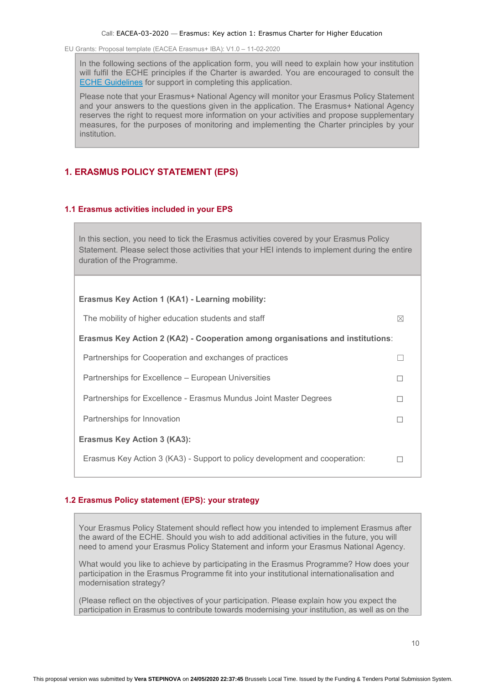In the following sections of the application form, you will need to explain how your institution will fulfil the ECHE principles if the Charter is awarded. You are encouraged to consult the [ECHE Guidelines](https://ec.europa.eu/programmes/erasmus-plus/sites/erasmusplus/files/files/resources/charter-annotated-guidelines-Feb2020_en.pdf) for support in completing this application.

Please note that your Erasmus+ National Agency will monitor your Erasmus Policy Statement and your answers to the questions given in the application. The Erasmus+ National Agency reserves the right to request more information on your activities and propose supplementary measures, for the purposes of monitoring and implementing the Charter principles by your institution.

# **1. ERASMUS POLICY STATEMENT (EPS)**

## **1.1 Erasmus activities included in your EPS**

In this section, you need to tick the Erasmus activities covered by your Erasmus Policy Statement. Please select those activities that your HEI intends to implement during the entire duration of the Programme.

| Erasmus Key Action 1 (KA1) - Learning mobility:                                |  |
|--------------------------------------------------------------------------------|--|
| The mobility of higher education students and staff<br>$\boxtimes$             |  |
| Erasmus Key Action 2 (KA2) - Cooperation among organisations and institutions: |  |
| Partnerships for Cooperation and exchanges of practices                        |  |
| Partnerships for Excellence – European Universities                            |  |
| Partnerships for Excellence - Erasmus Mundus Joint Master Degrees              |  |
| Partnerships for Innovation                                                    |  |
| Erasmus Key Action 3 (KA3):                                                    |  |
| Erasmus Key Action 3 (KA3) - Support to policy development and cooperation:    |  |
|                                                                                |  |

## **1.2 Erasmus Policy statement (EPS): your strategy**

Your Erasmus Policy Statement should reflect how you intended to implement Erasmus after the award of the ECHE. Should you wish to add additional activities in the future, you will need to amend your Erasmus Policy Statement and inform your Erasmus National Agency.

What would you like to achieve by participating in the Erasmus Programme? How does your participation in the Erasmus Programme fit into your institutional internationalisation and modernisation strategy?

(Please reflect on the objectives of your participation. Please explain how you expect the participation in Erasmus to contribute towards modernising your institution, as well as on the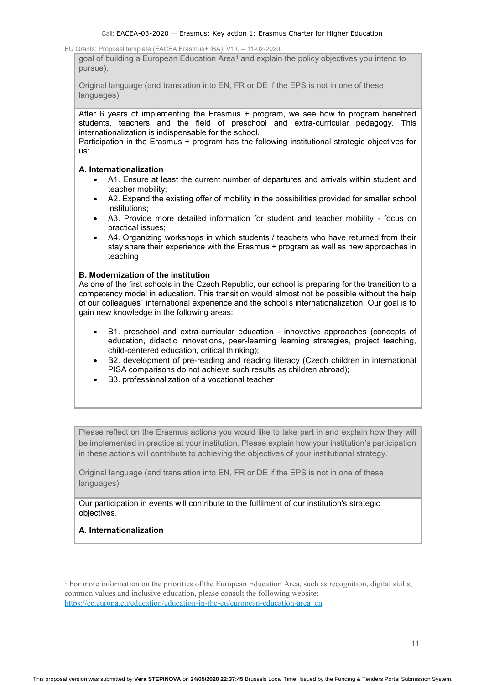goal of building a European Education Area<sup>1</sup> and explain the policy objectives you intend to pursue).

Original language (and translation into EN, FR or DE if the EPS is not in one of these languages)

After 6 years of implementing the Erasmus + program, we see how to program benefited students, teachers and the field of preschool and extra-curricular pedagogy. This internationalization is indispensable for the school.

Participation in the Erasmus + program has the following institutional strategic objectives for us:

## **A. Internationalization**

- A1. Ensure at least the current number of departures and arrivals within student and teacher mobility;
- A2. Expand the existing offer of mobility in the possibilities provided for smaller school institutions;
- A3. Provide more detailed information for student and teacher mobility focus on practical issues;
- A4. Organizing workshops in which students / teachers who have returned from their stay share their experience with the Erasmus + program as well as new approaches in teaching

## **B. Modernization of the institution**

As one of the first schools in the Czech Republic, our school is preparing for the transition to a competency model in education. This transition would almost not be possible without the help of our colleagues´ international experience and the school's internationalization. Our goal is to gain new knowledge in the following areas:

- B1. preschool and extra-curricular education innovative approaches (concepts of education, didactic innovations, peer-learning learning strategies, project teaching, child-centered education, critical thinking);
- B2. development of pre-reading and reading literacy (Czech children in international PISA comparisons do not achieve such results as children abroad);
- B3. professionalization of a vocational teacher

Please reflect on the Erasmus actions you would like to take part in and explain how they will be implemented in practice at your institution. Please explain how your institution's participation in these actions will contribute to achieving the objectives of your institutional strategy.

Original language (and translation into EN, FR or DE if the EPS is not in one of these languages)

Our participation in events will contribute to the fulfilment of our institution's strategic objectives.

## **A. Internationalization**

 $\overline{a}$ 

-

<sup>1</sup> For more information on the priorities of the European Education Area, such as recognition, digital skills, common values and inclusive education, please consult the following website: [https://ec.europa.eu/education/education-in-the-eu/european-education-area\\_en](https://ec.europa.eu/education/education-in-the-eu/european-education-area_en)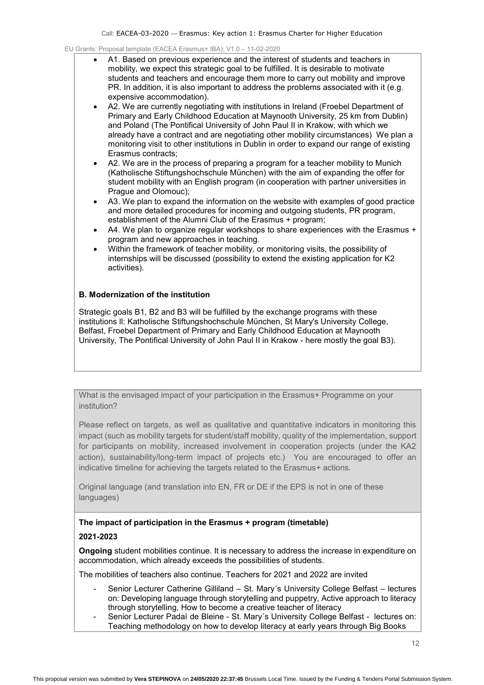- A1. Based on previous experience and the interest of students and teachers in mobility, we expect this strategic goal to be fulfilled. It is desirable to motivate students and teachers and encourage them more to carry out mobility and improve PR. In addition, it is also important to address the problems associated with it (e.g. expensive accommodation).
- A2. We are currently negotiating with institutions in Ireland (Froebel Department of Primary and Early Childhood Education at Maynooth University, 25 km from Dublin) and Poland (The Pontifical University of John Paul II in Krakow, with which we already have a contract and are negotiating other mobility circumstances) We plan a monitoring visit to other institutions in Dublin in order to expand our range of existing Erasmus contracts;
- A2. We are in the process of preparing a program for a teacher mobility to Munich (Katholische Stiftungshochschule München) with the aim of expanding the offer for student mobility with an English program (in cooperation with partner universities in Prague and Olomouc);
- A3. We plan to expand the information on the website with examples of good practice and more detailed procedures for incoming and outgoing students, PR program, establishment of the Alumni Club of the Erasmus + program;
- A4. We plan to organize regular workshops to share experiences with the Erasmus + program and new approaches in teaching.
- Within the framework of teacher mobility, or monitoring visits, the possibility of internships will be discussed (possibility to extend the existing application for K2 activities).

## **B. Modernization of the institution**

Strategic goals B1, B2 and B3 will be fulfilled by the exchange programs with these institutions ll: Katholische Stiftungshochschule München, St Mary's University College, Belfast, Froebel Department of Primary and Early Childhood Education at Maynooth University, The Pontifical University of John Paul II in Krakow - here mostly the goal B3).

What is the envisaged impact of your participation in the Erasmus+ Programme on your institution?

Please reflect on targets, as well as qualitative and quantitative indicators in monitoring this impact (such as mobility targets for student/staff mobility, quality of the implementation, support for participants on mobility, increased involvement in cooperation projects (under the KA2 action), sustainability/long-term impact of projects etc.) You are encouraged to offer an indicative timeline for achieving the targets related to the Erasmus+ actions.

Original language (and translation into EN, FR or DE if the EPS is not in one of these languages)

#### **The impact of participation in the Erasmus + program (timetable)**

#### **2021-2023**

**Ongoing** student mobilities continue. It is necessary to address the increase in expenditure on accommodation, which already exceeds the possibilities of students.

The mobilities of teachers also continue. Teachers for 2021 and 2022 are invited

- Senior Lecturer Catherine Gilliland St. Mary's University College Belfast lectures on: Developing language through storytelling and puppetry, Active approach to literacy through storytelling, How to become a creative teacher of literacy
- Senior Lecturer Padaí de Bleine St. Mary's University College Belfast lectures on: Teaching methodology on how to develop literacy at early years through Big Books